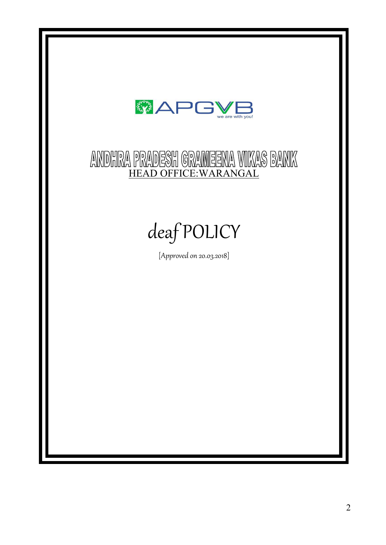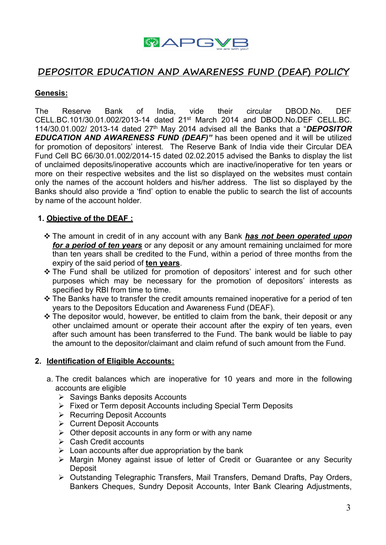

# **DEPOSITOR EDUCATION AND AWARENESS FUND (DEAF) POLICY**

#### **Genesis:**

The Reserve Bank of India, vide their circular DBOD.No. DEF CELL.BC.101/30.01.002/2013-14 dated 21<sup>st</sup> March 2014 and DBOD.No.DEF CELL.BC. 114/30.01.002/ 2013-14 dated 27 th May 2014 advised all the Banks thata "*DEPOSITOR EDUCATION AND AWARENESS FUND (DEAF)"*has been opened and it will be utilized for promotion of depositors' interest. The Reserve Bank of India vide their Circular DEA Fund Cell BC 66/30.01.002/2014-15 dated 02.02.2015 advised the Banks to display the list of unclaimed deposits/inoperative accounts which are inactive/inoperative for ten years or more on their respective websites and the list so displayed on the websites must contain only the names of the account holders and his/her address. The list so displayed by the Banks should also provide a 'find' option to enable the public to search the list of accounts by name of the account holder.

#### **1. Objective of the DEAF :**

- The amount in credit of in any account with any Bank *has not been operated upon for a period of ten years* or any deposit or any amount remaining unclaimed for more than ten years shall be credited to the Fund, within a period of three months from the expiry of the said period of **ten years**.
- The Fund shall be utilized for promotion of depositors' interest and for such other purposes which may be necessary for the promotion of depositors' interests as specified by RBI from time to time.
- \* The Banks have to transfer the credit amounts remained inoperative for a period of ten years to the Depositors Education and Awareness Fund (DEAF).
- $\cdot$  The depositor would, however, be entitled to claim from the bank, their deposit or any other unclaimed amount or operate their account after the expiry of ten years, even after such amount has been transferred to the Fund. The bank would be liable to pay the amount to the depositor/claimant and claim refund of such amount from the Fund.

#### **2. Identification of Eligible Accounts:**

- a. The credit balances which are inoperative for 10 years and more in the following accounts are eligible
	- $\triangleright$  Savings Banks deposits Accounts
	- Fixed or Term deposit Accounts including Special Term Deposits
	- **EXECURA** Precurring Deposit Accounts
	- **▶ Current Deposit Accounts**
	- $\triangleright$  Other deposit accounts in any form or with any name
	- Cash Credit accounts
	- $\triangleright$  Loan accounts after due appropriation by the bank
	- Margin Money against issue of letter of Credit or Guarantee or any Security **Deposit**
	- Outstanding Telegraphic Transfers, Mail Transfers, Demand Drafts, Pay Orders, Bankers Cheques, Sundry Deposit Accounts, Inter Bank Clearing Adjustments,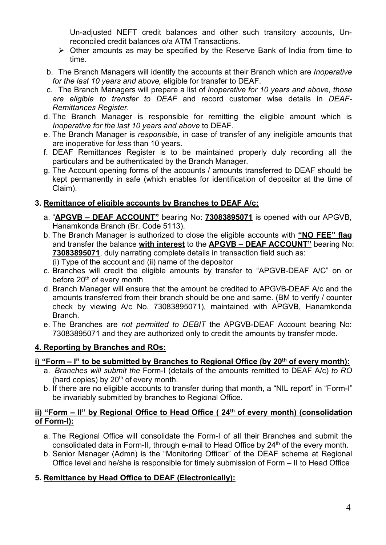Un-adjusted NEFT credit balances and other such transitory accounts, Unreconciled credit balances o/a ATM Transactions.

- $\triangleright$  Other amounts as may be specified by the Reserve Bank of India from time to time.
- b. The Branch Managers will identify the accounts at their Branch which are *Inoperative for the last 10 years and above,* eligible for transfer to DEAF.
- c. The Branch Managers will prepare a list of *inoperative for 10 years and above, those are eligible to transfer to DEAF* and record customer wise details in *DEAF- Remittances Register*.d. The Branch Manager is responsible for remitting the eligible amount which is
- *Inoperative for the last 10 years and above* to DEAF.
- e. The Branch Manager is *responsible,* in case of transfer of any ineligible amounts that are inoperative for *less* than 10 years.
- f. DEAF Remittances Register is to be maintained properly duly recording all the particulars and be authenticated by the Branch Manager.
- g. The Account opening forms of the accounts / amounts transferred to DEAF should be kept permanently in safe (which enables for identification of depositor at the time of Claim).

## **3. Remittance of eligible accounts by Branches to DEAF A/c:**

- a. "**APGVB – DEAF ACCOUNT"** bearing No: **73083895071** isopened with our APGVB, Hanamkonda Branch (Br.Code 5113).
- b. The Branch Manager is authorized to close the eligible accounts with **"NO FEE" flag** and transfer the balance **with interest** to the **APGVB – DEAF ACCOUNT"** bearing No: **73083895071**, duly narrating complete details in transaction field such as: (i) Type of the account and (ii) name of the depositor
- c. Branches will credit the eligible amounts by transfer to "APGVB-DEAF A/C" on or before 20<sup>th</sup> of every month
- d. Branch Managerwill ensure that the amount be credited to APGVB-DEAF A/c and the amounts transferred from their branch should be one and same. (BM to verify / counter check by viewing A/c No. 73083895071), maintained with APGVB, Hanamkonda Branch.
- e. The Branches are *not permitted to DEBIT* the APGVB-DEAF Account bearing No: 73083895071 and they are authorized only to credit the amounts by transfer mode.

## **4. Reporting by Branches and ROs:**

## **i) "Form – I"to be submitted by Branches to Regional Office (by 20 th of every month):**

- a. *Branches will submit the* Form-I (details of the amounts remitted to DEAF A/c) *to RO* (hard copies) by 20<sup>th</sup> of every month.
- b. If there are no eligible accounts to transfer during that month, a "NIL report" in "Form-I" be invariably submitted by branches to Regional Office.

### **ii) "Form – II" by Regional Office to Head Office ( 24 th of every month) (consolidation of Form-I):**

- a. The Regional Office will consolidate the Form-I of all their Branches and submit the consolidated data in Form-II, through e-mail to Head Office by 24 th of the every month.
- b. Senior Manager (Admn) is the "Monitoring Officer" of the DEAF scheme at Regional Office level and he/she is responsible for timely submission of Form – II to Head Office

## **5. Remittance by Head Office to DEAF (Electronically):**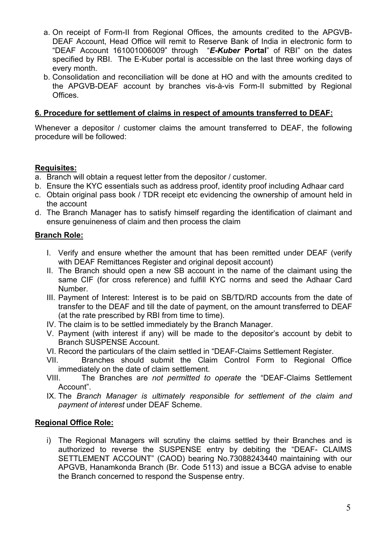- a. On receipt of Form-II from Regional Offices, the amounts credited to the APGVB- DEAF Account, Head Office will remit to Reserve Bank of India in electronic form to "DEAF Account 161001006009" through "*E-Kuber* **Portal**" of RBI" on the dates specified by RBI. The E-Kuber portal is accessible on the last three working days of every month.
- b. Consolidation and reconciliation will be done at HO and with the amounts credited to the APGVB-DEAF account by branches vis-à-vis Form-II submitted by Regional **Offices**

#### **6. Procedure for settlement of claims in respect of amounts transferred to DEAF:**

Whenever a depositor / customer claims the amount transferred to DEAF, the following procedure will be followed:

#### **Requisites:**

- a. Branch will obtain a request letter from the depositor / customer.
- b. Ensure the KYC essentials such as address proof, identity proof including Adhaar card
- c. Obtain original pass book / TDR receipt etc evidencing the ownership of amount held in the account
- d. The Branch Manager has to satisfy himself regarding the identification of claimant and ensure genuineness of claim and then process the claim

#### **Branch Role:**

- I. Verify and ensure whether the amount that has been remitted under DEAF (verify with DEAF Remittances Register and original deposit account)
- II. The Branch should open a new SB account in the name of the claimant using the same CIF (for cross reference) and fulfill KYC norms and seed the Adhaar Card Number.
- III. Payment of Interest: Interest is to be paid on SB/TD/RD accounts from the date of transfer to the DEAF and till the date of payment, on the amount transferred to DEAF (at the rate prescribed by RBI from time to time).
- IV. The claim is to be settled immediately by the Branch Manager.
- V. Payment (with interest if any) will be made to the depositor's account by debit to Branch SUSPENSE Account.
- VI. Record the particulars of the claim settled in "DEAF-Claims Settlement Register.
- VII. Branches should submit the Claim Control Form to Regional Office immediately on the date of claim settlement.
- VIII. The Branches are *not permitted to operate* the "DEAF-Claims Settlement Account".
- IX. The *Branch Manager is ultimately responsible for settlement of the claim and payment of interest* under DEAF Scheme.

#### **Regional Office Role:**

i) The Regional Managers will scrutiny the claims settled by their Branches and is authorized to reverse the SUSPENSE entry by debiting the "DEAF- CLAIMS SETTLEMENT ACCOUNT" (CAOD) bearing No.73088243440 maintaining with our APGVB, Hanamkonda Branch (Br. Code 5113) and issue a BCGA advise to enable the Branch concerned to respond the Suspense entry.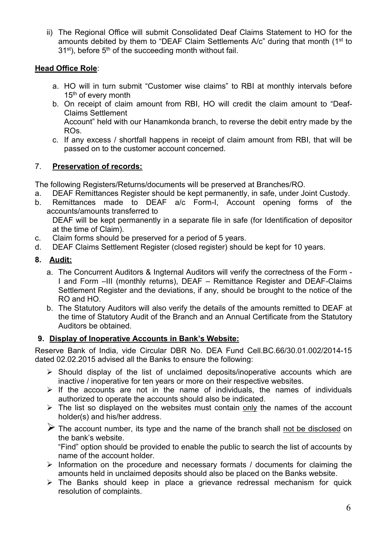ii) The Regional Office will submit Consolidated Deaf Claims Statement to HO for the amounts debited by them to "DEAF Claim Settlements A/c" during that month (1<sup>st</sup> to 31<sup>st</sup>), before 5<sup>th</sup> of the succeeding month without fail.

#### **Head Office Role**:

- a. HO will in turn submit "Customer wise claims" to RBI at monthly intervals before 15 th of every month
- b. On receipt of claim amount from RBI, HO will credit the claim amount to "Deaf- Claims Settlement Account" held with our Hanamkonda branch, to reverse the debit entry made by the ROs.
- c. If any excess / shortfall happens in receipt of claim amount from RBI, that will be passed on to the customer account concerned.

## 7. **Preservation of records:**

The following Registers/Returns/documents will be preserved at Branches/RO.

- a. DEAF Remittances Register should be kept permanently, in safe, under Joint Custody.
- b. Remittances made to DEAF a/c Form-I, Account opening forms of the accounts/amounts transferred to

DEAF will be kept permanently in a separate file in safe (for Identification of depositor at the time of Claim).

- c. Claim forms should be preserved for a period of 5 years.
- d. DEAF Claims Settlement Register (closed register) should be kept for 10 years.

### **8. Audit:**

- a. The Concurrent Auditors & Ingternal Auditors will verify the correctness of the Form -I and Form –III (monthly returns), DEAF – Remittance Register and DEAF-Claims Settlement Register and the deviations, if any, should be brought to the notice of the RO and HO.
- b. The Statutory Auditors will also verify the details of the amounts remitted to DEAF at the time of Statutory Audit of the Branch and an Annual Certificate from the Statutory Auditors be obtained.

## **9. Display of Inoperative Accounts in Bank's Website:**

Reserve Bank of India, vide Circular DBR No. DEA Fund Cell.BC.66/30.01.002/2014-15 dated 02.02.2015 advised all the Banks to ensure the following:

- $\triangleright$  Should display of the list of unclaimed deposits/inoperative accounts which are inactive / inoperative for ten years or more on their respective websites.
- $\triangleright$  If the accounts are not in the name of individuals, the names of individuals authorized to operate the accounts should also be indicated.
- $\triangleright$  The list so displayed on the websites must contain only the names of the account holder(s) and his/her address.
- $\triangleright$  The account number, its type and the name of the branch shall not be disclosed on the bank's website.

"Find" option should be provided to enable the public to search the list of accounts by name of the account holder.

- $\triangleright$  Information on the procedure and necessary formats / documents for claiming the amounts held in unclaimed deposits should also be placed on the Banks website.
- $\triangleright$  The Banks should keep in place a grievance redressal mechanism for quick resolution of complaints.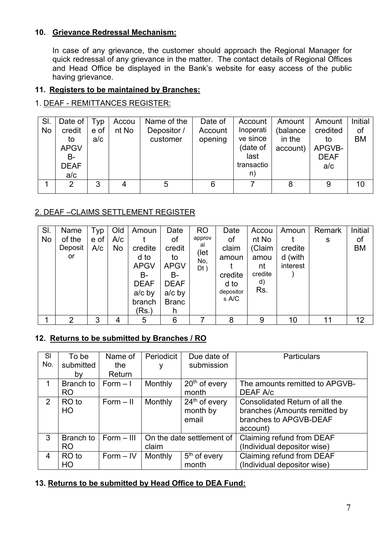### **10. Grievance Redressal Mechanism:**

In case of any grievance, the customer should approach the Regional Manager for quick redressal of any grievance in the matter. The contact details of Regional Offices and Head Office be displayed in the Bank's website for easy access of the public having grievance.

### **11. Registers to be maintained by Branches:**

#### 1. DEAF - REMITTANCES REGISTER:

| SI.<br>No | Date of<br>credit<br>to<br><b>APGV</b><br><b>B-</b><br><b>DEAF</b><br>a/c | Typ<br>e of<br>a/c | Accou<br>nt No | Name of the<br>Depositor /<br>customer | Date of<br>Account<br>opening | Account<br>Inoperati<br>ve since<br>(date of<br>last<br>transactio<br>n) | Amount<br>(balance<br>in the<br>account) | Amount<br>credited<br>to<br>APGVB-<br><b>DEAF</b><br>a/c | Initial<br>of<br><b>BM</b> |
|-----------|---------------------------------------------------------------------------|--------------------|----------------|----------------------------------------|-------------------------------|--------------------------------------------------------------------------|------------------------------------------|----------------------------------------------------------|----------------------------|
|           | ົ                                                                         | 3                  | 4              |                                        | 6                             |                                                                          | 8                                        | 9                                                        | 10                         |

### 2. DEAF –CLAIMS SETTLEMENT REGISTER

| SI.<br>No | Name<br>of the<br>Deposit | Typ<br>e of<br>A/c | Old<br>A/c<br>No | Amoun<br>credite                                                               | Date<br>of<br>credit                                                    | <b>RO</b><br>approv<br>al | Date<br>of<br>claim                            | Accou<br>nt No<br>(Claim           | Amoun<br>credite    | Remark<br>s | Initial<br>of<br>ВM |  |
|-----------|---------------------------|--------------------|------------------|--------------------------------------------------------------------------------|-------------------------------------------------------------------------|---------------------------|------------------------------------------------|------------------------------------|---------------------|-------------|---------------------|--|
|           | or                        |                    |                  | d to<br><b>APGV</b><br><b>B-</b><br><b>DEAF</b><br>$a/c$ by<br>branch<br>(Rs.) | to<br><b>APGV</b><br>B-<br><b>DEAF</b><br>$a/c$ by<br><b>Branc</b><br>h | (let<br>No,<br>$Dt$ )     | amoun<br>credite<br>d to<br>depositor<br>s A/C | amou<br>nt<br>credite<br>d)<br>Rs. | d (with<br>interest |             |                     |  |
|           | ◠                         | ົ<br>J             |                  | 5                                                                              | 6                                                                       |                           | 8                                              | 9                                  | 10                  | 11          | 12                  |  |

#### **12. Returns to be submitted by Branches / RO**

| <b>SI</b>      | To be     | Name of      | Periodicit                | Due date of              | <b>Particulars</b>             |
|----------------|-----------|--------------|---------------------------|--------------------------|--------------------------------|
| No.            | submitted | the          |                           | submission               |                                |
|                | bv        | Return       |                           |                          |                                |
| 1              | Branch to | $Form - 1$   | <b>Monthly</b>            | $20th$ of every          | The amounts remitted to APGVB- |
|                | <b>RO</b> |              |                           | month                    | DEAF A/c                       |
| 2              | RO to     | $Form - II$  | <b>Monthly</b>            | $24th$ of every          | Consolidated Return of all the |
|                | HO.       |              |                           | month by                 | branches (Amounts remitted by  |
|                |           |              |                           | email                    | branches to APGVB-DEAF         |
|                |           |              |                           |                          | account)                       |
| 3              | Branch to | $Form - III$ | On the date settlement of |                          | Claiming refund from DEAF      |
|                | RO.       |              | claim                     |                          | (Individual depositor wise)    |
| $\overline{4}$ | RO to     | $Form - IV$  | <b>Monthly</b>            | 5 <sup>th</sup> of every | Claiming refund from DEAF      |
|                | HO.       |              |                           | month                    | (Individual depositor wise)    |

#### **13. Returns to be submitted by Head Office to DEA Fund:**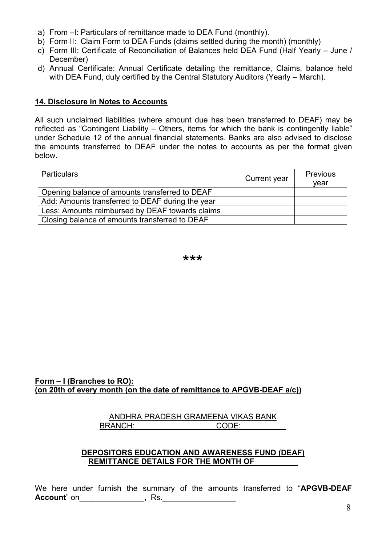- a) From –I: Particulars of remittance made to DEA Fund (monthly).
- b) Form II: Claim Form to DEA Funds (claims settled during the month) (monthly)
- c) Form III: Certificate of Reconciliation of Balances held DEA Fund (Half Yearly June / December)
- d) Annual Certificate: Annual Certificate detailing the remittance, Claims, balance held with DEA Fund, duly certified by the Central Statutory Auditors (Yearly – March).

#### **14. Disclosure in Notes to Accounts**

All such unclaimed liabilities (where amount due has been transferred to DEAF) may be reflected as "Contingent Liability – Others, items for which the bank is contingently liable" under Schedule 12 of the annual financial statements. Banks are also advised to disclose the amounts transferred to DEAF under the notes to accounts as per the format given below.

| <b>Particulars</b>                               | Current year | <b>Previous</b><br>vear |
|--------------------------------------------------|--------------|-------------------------|
| Opening balance of amounts transferred to DEAF   |              |                         |
| Add: Amounts transferred to DEAF during the year |              |                         |
| Less: Amounts reimbursed by DEAF towards claims  |              |                         |
| Closing balance of amounts transferred to DEAF   |              |                         |

\*\*\*

#### **Form – I (Branches to RO): (on 20th of every month (on the date of remittance to APGVB-DEAF a/c))**

#### ANDHRA PRADESH GRAMEENA VIKAS BANK BRANCH: CODE:

#### **DEPOSITORS EDUCATION AND AWARENESS FUND (DEAF) REMITTANCE DETAILS FOR THE MONTH OF**

We here under furnish the summary of the amounts transferred to "**APGVB-DEAF Account**" on\_\_\_\_\_\_\_\_\_\_\_\_\_\_\_, Rs.\_\_\_\_\_\_\_\_\_\_\_\_\_\_\_\_\_\_\_\_\_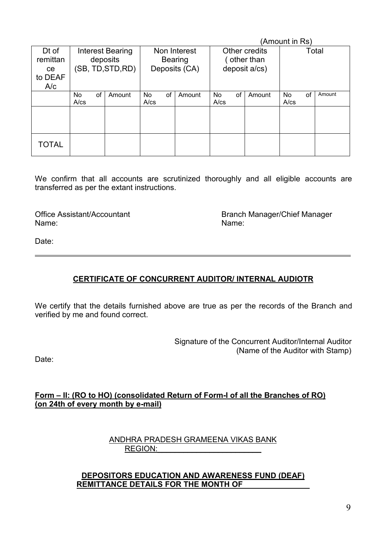|                                           |                   |                                                   |        |                   |                                                 |        |                  |                                              |        | (Amount in Rs)   |       |        |
|-------------------------------------------|-------------------|---------------------------------------------------|--------|-------------------|-------------------------------------------------|--------|------------------|----------------------------------------------|--------|------------------|-------|--------|
| Dt of<br>remittan<br>ce<br>to DEAF<br>A/c |                   | Interest Bearing<br>deposits<br>(SB, TD, STD, RD) |        |                   | Non Interest<br><b>Bearing</b><br>Deposits (CA) |        |                  | Other credits<br>other than<br>deposit a/cs) |        |                  | Total |        |
|                                           | No.<br>$A$ / $cs$ | of                                                | Amount | No.<br>$A$ / $cs$ | of                                              | Amount | No<br>$A$ / $cs$ | of                                           | Amount | No<br>$A$ / $cs$ | of    | Amount |
|                                           |                   |                                                   |        |                   |                                                 |        |                  |                                              |        |                  |       |        |
| TOTAL                                     |                   |                                                   |        |                   |                                                 |        |                  |                                              |        |                  |       |        |

We confirm that all accounts are scrutinized thoroughly and all eligible accounts are transferred as per the extant instructions.

Name: Name:

Office Assistant/Accountant and Branch Manager/Chief Manager<br>
Name: Name:

Date:

#### **CERTIFICATE OF CONCURRENT AUDITOR/ INTERNAL AUDIOTR**

We certify that the details furnished above are true as per the records of the Branch and verified by me and found correct.

> Signature of the Concurrent Auditor/Internal Auditor (Name of the Auditor with Stamp)

Date:

#### **Form – II: (RO toHO) (consolidated Return of Form-I of all the Branches of RO) (on 24th of every month by e-mail)**

#### ANDHRA PRADESH GRAMEENA VIKAS BANK REGION:

#### **DEPOSITORS EDUCATION AND AWARENESS FUND (DEAF) REMITTANCE DETAILS FOR THE MONTH OF**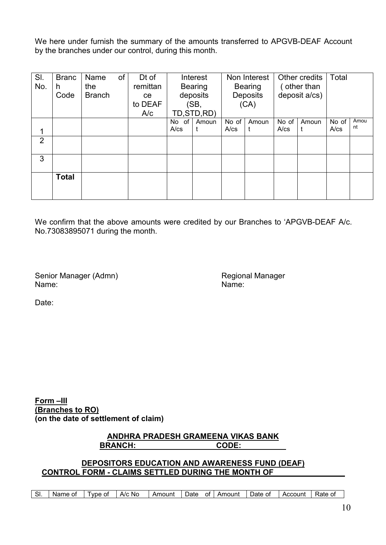We here under furnish the summary of the amounts transferred to APGVB-DEAF Account by the branches under our control, during this month.

| deposit a/cs)<br>Deposits<br>deposits<br>Code<br><b>Branch</b><br>ce<br>to DEAF<br>(SB,<br>(CA)<br>TD, STD, RD)<br>A/c<br>No of<br>No of $ $<br>No of<br>No of<br>Amoun<br>Amoun<br>Amoun<br>nt<br>$A$ / $cs$<br>$A$ / $cs$<br>$A$ / $cs$<br>$A$ / $cs$<br>1<br>$\overline{2}$<br>3<br><b>Total</b> | SI.<br>No. | <b>Branc</b><br>h | Name<br>the | of | Dt of<br>remittan | Interest       |  | Non Interest<br><b>Bearing</b> |  | Other credits<br>other than | Total |      |
|-----------------------------------------------------------------------------------------------------------------------------------------------------------------------------------------------------------------------------------------------------------------------------------------------------|------------|-------------------|-------------|----|-------------------|----------------|--|--------------------------------|--|-----------------------------|-------|------|
|                                                                                                                                                                                                                                                                                                     |            |                   |             |    |                   | <b>Bearing</b> |  |                                |  |                             |       |      |
|                                                                                                                                                                                                                                                                                                     |            |                   |             |    |                   |                |  |                                |  |                             |       | Amou |
|                                                                                                                                                                                                                                                                                                     |            |                   |             |    |                   |                |  |                                |  |                             |       |      |
|                                                                                                                                                                                                                                                                                                     |            |                   |             |    |                   |                |  |                                |  |                             |       |      |
|                                                                                                                                                                                                                                                                                                     |            |                   |             |    |                   |                |  |                                |  |                             |       |      |

We confirm that the above amounts were credited by our Branches to 'APGVB-DEAF A/c. No.73083895071 during the month.

Senior Manager (Admn) Regional Manager<br>
Name: Name: Name: Name:

Date:

**Form –III (Branches to RO) (on the date of settlement of claim)**

#### **ANDHRA PRADESH GRAMEENA VIKAS BANK BRANCH:**  $\qquad \qquad$

### **DEPOSITORS EDUCATION AND AWARENESS FUND (DEAF) CONTROL FORM - CLAIMS SETTLED DURING THE MONTH OF**

| 0t | . In the<br>кате | Account | Date of | Amount | οt | Jate | Amount | A/c No | l vpe<br>.ot | Name of | $\sim$<br>51. |
|----|------------------|---------|---------|--------|----|------|--------|--------|--------------|---------|---------------|
|----|------------------|---------|---------|--------|----|------|--------|--------|--------------|---------|---------------|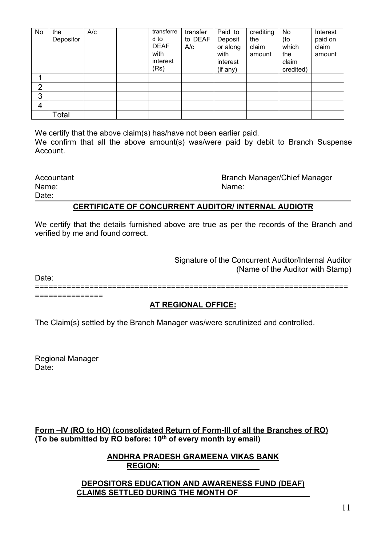| No             | the<br>Depositor | A/c | transferre<br>d to<br><b>DEAF</b><br>with<br>interest<br>(Rs) | transfer<br>to DEAF<br>A/c | Paid to<br>Deposit<br>or along<br>with<br>interest<br>(if any) | crediting<br>the<br>claim<br>amount | No<br>(to<br>which<br>the<br>claim<br>credited) | Interest<br>paid on<br>claim<br>amount |  |
|----------------|------------------|-----|---------------------------------------------------------------|----------------------------|----------------------------------------------------------------|-------------------------------------|-------------------------------------------------|----------------------------------------|--|
|                |                  |     |                                                               |                            |                                                                |                                     |                                                 |                                        |  |
| $\overline{2}$ |                  |     |                                                               |                            |                                                                |                                     |                                                 |                                        |  |
| 3              |                  |     |                                                               |                            |                                                                |                                     |                                                 |                                        |  |
| 4              |                  |     |                                                               |                            |                                                                |                                     |                                                 |                                        |  |
|                | Total            |     |                                                               |                            |                                                                |                                     |                                                 |                                        |  |

We certify that the above claim(s) has/have not been earlier paid. We confirm that all the above amount(s) was/were paid by debit to Branch Suspense Account.

Date:

Accountant **Accountant Branch Manager/Chief Manager** Name: Name:

## **CERTIFICATE OF CONCURRENT AUDITOR/ INTERNAL AUDIOTR**

We certify that the details furnished above are true as per the records of the Branch and verified by me and found correct.

> Signature of the Concurrent Auditor/Internal Auditor (Name of the Auditor with Stamp)

Date: ===================================================================== ===============

#### **AT REGIONAL OFFICE:**

The Claim(s) settled by the Branch Manager was/were scrutinized and controlled.

Regional Manager Date:

**Form –IV (RO to HO) (consolidated Return of Form-III of all the Branches of RO) (To be submitted by RO before: 10 th of every month by email)**

> **ANDHRA PRADESH GRAMEENA VIKAS BANK REGION:\_\_\_\_\_\_\_\_\_\_\_\_\_\_\_\_\_\_\_\_\_\_\_**

**DEPOSITORS EDUCATION AND AWARENESS FUND (DEAF) CLAIMS SETTLED DURING THE MONTH OF**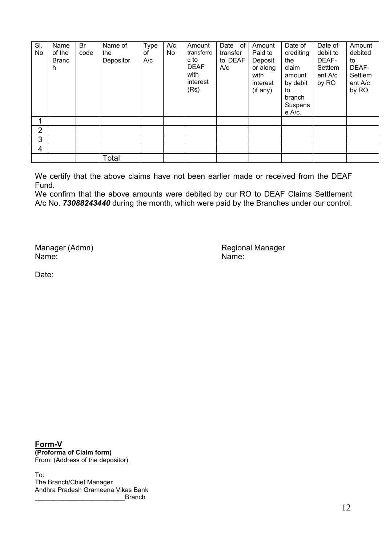| SI.<br>No | Name<br>of the<br><b>Branc</b><br>n | Br<br>code | Name of<br>the<br>Depositor | Type<br>of<br>A/c | A/c<br>No | Amount<br>transferre<br>d to<br><b>DEAF</b><br>with<br>interest<br>(Rs) | Date of<br>transfer<br>to DEAF<br>A/c | Amount<br>Paid to<br>Deposit<br>or along<br>with<br>interest<br>(if any) | Date of<br>crediting<br>the<br>claim<br>amount<br>by debit<br>to<br>branch<br>Suspens<br>e A/c. | Date of<br>debit to<br>DEAF-<br>Settlem<br>ent A/c<br>by RO | Amount<br>debited<br>to<br>DEAF-<br>Settlem<br>ent A/c<br>by RO |
|-----------|-------------------------------------|------------|-----------------------------|-------------------|-----------|-------------------------------------------------------------------------|---------------------------------------|--------------------------------------------------------------------------|-------------------------------------------------------------------------------------------------|-------------------------------------------------------------|-----------------------------------------------------------------|
|           |                                     |            |                             |                   |           |                                                                         |                                       |                                                                          |                                                                                                 |                                                             |                                                                 |
| າ         |                                     |            |                             |                   |           |                                                                         |                                       |                                                                          |                                                                                                 |                                                             |                                                                 |
| 3         |                                     |            |                             |                   |           |                                                                         |                                       |                                                                          |                                                                                                 |                                                             |                                                                 |
| 4         |                                     |            |                             |                   |           |                                                                         |                                       |                                                                          |                                                                                                 |                                                             |                                                                 |
|           |                                     |            | Total                       |                   |           |                                                                         |                                       |                                                                          |                                                                                                 |                                                             |                                                                 |

We certify that the above claims have not been earlier made or received from the DEAF Fund.

We confirm that the above amounts were debited by our RO to DEAF Claims Settlement A/c No. *73088243440* during the month, which were paid by the Branches under our control.

Manager (Admn) Regional Manager (Admn)<br>
Name: Name: Regional Manager Name: Name:

Date<sup>:</sup>

**Form-V (Proforma of Claim form)** From: (Address of the depositor)

To: The Branch/Chief Manager Andhra Pradesh Grameena Vikas Bank **Branch**